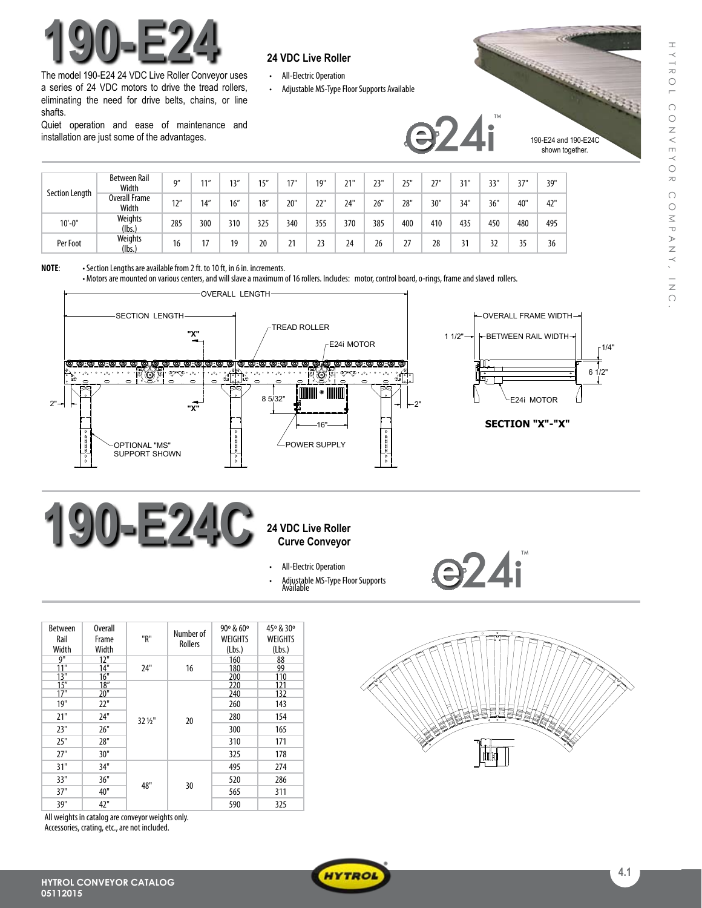

The model 190-E24 24 VDC Live Roller Conveyor uses a series of 24 VDC motors to drive the tread rollers, eliminating the need for drive belts, chains, or line shafts.

Quiet operation and ease of maintenance and installation are just some of the advantages.

- • All-Electric Operation
- Adjustable MS-Type Floor Supports Available



|                | <b>Between Rail</b><br>Width  | Q''  | 11'' | 12'' | 1 <sup>II</sup> | 17" | 19" | 21" | 23" | 25' | 27" | 31" | 33' | 37" | 39" |
|----------------|-------------------------------|------|------|------|-----------------|-----|-----|-----|-----|-----|-----|-----|-----|-----|-----|
| Section Length | <b>Overall Frame</b><br>Width | 12'' | 14'' | 16'' | 18''            | 20" | 22" | 24" | 26" | 28" | 30" | 34" | 36" | 40" | 42" |
| $10'-0$ "      | Weights<br>(lbs.)             | 285  | 300  | 310  | 325             | 340 | 355 | 370 | 385 | 400 | 410 | 435 | 450 | 480 | 495 |
| Per Foot       | Weights<br>(lbs.)             | 16   |      | 19   | 20              | 21  | 23  | 24  | 26  | 27  | 28  | 31  | 32  | २६  | 36  |

**NOTE:** • Section Lengths are available from 2 ft. to 10 ft, in 6 in. increments.

• Motors are mounted on various centers, and will slave a maximum of 16 rollers. Includes: motor, control board, o-rings, frame and slaved rollers.



# **190-E24C** 24 VDC Live Roller

# **Curve Conveyor**

- All-Electric Operation
- Adjustable MS-Type Floor Supports<br>Available
- Between Rail Width Overall Frame Width "R" Number of Rollers 90º & 60º WEIGHTS (Lbs.) 45º & 30º WEIGHTS (Lbs.)<br>88<br>99  $\frac{12}{14}$ 24" 16 160<br>180<br>200 11" 14" 180 99 13" 16" | 200 | 110  $\begin{array}{c|cc} 13" & 16' \\ 15" & 18' \\ 17" & 20' \end{array}$  $32\frac{1}{2}$ " 20 200 110<br>220 121<br>240 132 17" 20" 240 132 19" | 22" | | 260 | 143 21" 24" <sub>32 1/4</sub>" 1 <sub>20</sub> 280 154 23" | 26" | | | | | 300 | 165 25" 28" 310 171 27" 30" 325 178 31" 34" 48" 30 495 274 33" 36" 1 101 1 20 520 286 37" | 40" | <sup>10</sup> | <sup>50</sup> | 565 | 311 39" | 42" | | 590 | 325

All weights in catalog are conveyor weights only. Accessories, crating, etc., are not included.



**e24i**